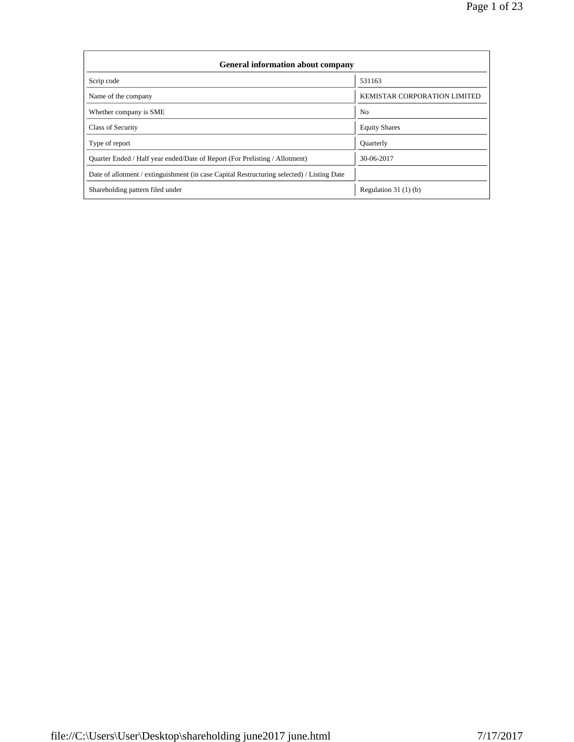Page 1 of 23

| <b>General information about company</b>                                                   |                                     |
|--------------------------------------------------------------------------------------------|-------------------------------------|
| Scrip code                                                                                 | 531163                              |
| Name of the company                                                                        | <b>KEMISTAR CORPORATION LIMITED</b> |
| Whether company is SME                                                                     | N <sub>0</sub>                      |
| Class of Security                                                                          | <b>Equity Shares</b>                |
| Type of report                                                                             | <b>Quarterly</b>                    |
| Quarter Ended / Half year ended/Date of Report (For Prelisting / Allotment)                | 30-06-2017                          |
| Date of allotment / extinguishment (in case Capital Restructuring selected) / Listing Date |                                     |
| Shareholding pattern filed under                                                           | Regulation $31(1)(b)$               |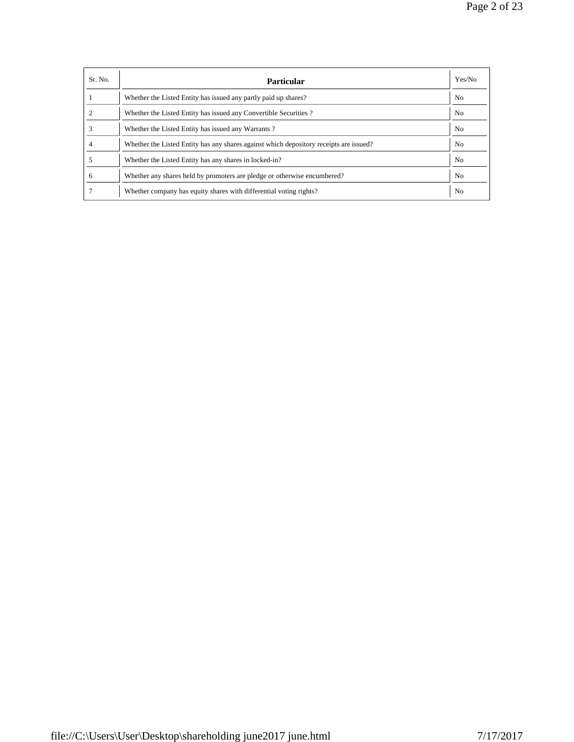Page 2 of 23

| Sr. No. | <b>Particular</b>                                                                      | Yes/No         |
|---------|----------------------------------------------------------------------------------------|----------------|
|         | Whether the Listed Entity has issued any partly paid up shares?                        | N <sub>0</sub> |
|         | Whether the Listed Entity has issued any Convertible Securities?                       | N <sub>0</sub> |
|         | Whether the Listed Entity has issued any Warrants?                                     | N <sub>0</sub> |
|         | Whether the Listed Entity has any shares against which depository receipts are issued? | N <sub>0</sub> |
|         | Whether the Listed Entity has any shares in locked-in?                                 | N <sub>o</sub> |
| 6       | Whether any shares held by promoters are pledge or otherwise encumbered?               | N <sub>0</sub> |
|         | Whether company has equity shares with differential voting rights?                     | N <sub>0</sub> |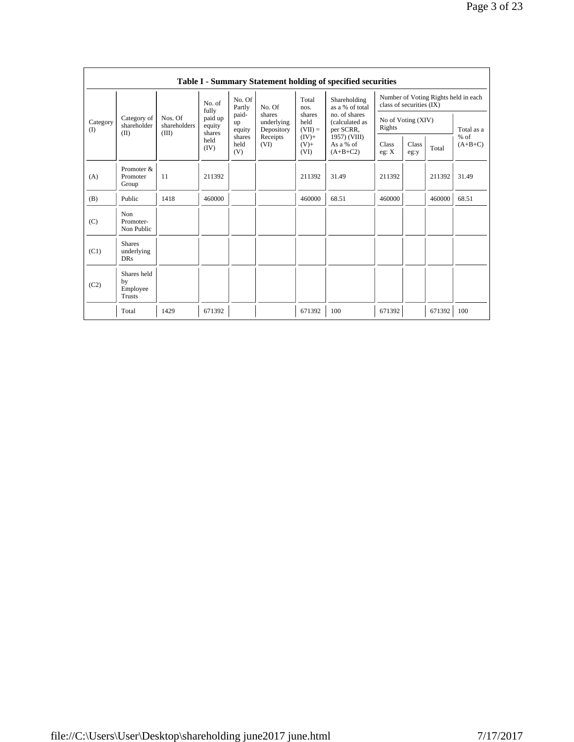|                 |                                           |                                  |                                      |                       |                                    |                             | Table I - Summary Statement holding of specified securities |                                                                  |               |        |                     |
|-----------------|-------------------------------------------|----------------------------------|--------------------------------------|-----------------------|------------------------------------|-----------------------------|-------------------------------------------------------------|------------------------------------------------------------------|---------------|--------|---------------------|
|                 |                                           |                                  | No. of                               | No. Of<br>Partly      | No. Of                             | Total<br>nos.               | Shareholding<br>as a % of total                             | Number of Voting Rights held in each<br>class of securities (IX) |               |        |                     |
| Category<br>(I) | Category of<br>shareholder<br>(II)        | Nos. Of<br>shareholders<br>(III) | fully<br>paid up<br>equity<br>shares | paid-<br>up<br>equity | shares<br>underlying<br>Depository | shares<br>held<br>$(VII) =$ | no. of shares<br>(calculated as<br>per SCRR,                | No of Voting (XIV)<br>Rights                                     |               |        | Total as a          |
|                 |                                           |                                  | held<br>(IV)                         | shares<br>held<br>(V) | Receipts<br>(VI)                   | $(IV)$ +<br>$(V) +$<br>(VI) | 1957) (VIII)<br>As a % of<br>$(A+B+C2)$                     | Class<br>eg: X                                                   | Class<br>eg:y | Total  | $%$ of<br>$(A+B+C)$ |
| (A)             | Promoter &<br>Promoter<br>Group           | 11                               | 211392                               |                       |                                    | 211392                      | 31.49                                                       | 211392                                                           |               | 211392 | 31.49               |
| (B)             | Public                                    | 1418                             | 460000                               |                       |                                    | 460000                      | 68.51                                                       | 460000                                                           |               | 460000 | 68.51               |
| (C)             | Non<br>Promoter-<br>Non Public            |                                  |                                      |                       |                                    |                             |                                                             |                                                                  |               |        |                     |
| (C1)            | <b>Shares</b><br>underlying<br><b>DRs</b> |                                  |                                      |                       |                                    |                             |                                                             |                                                                  |               |        |                     |
| (C2)            | Shares held<br>by<br>Employee<br>Trusts   |                                  |                                      |                       |                                    |                             |                                                             |                                                                  |               |        |                     |
|                 | Total                                     | 1429                             | 671392                               |                       |                                    | 671392                      | 100                                                         | 671392                                                           |               | 671392 | 100                 |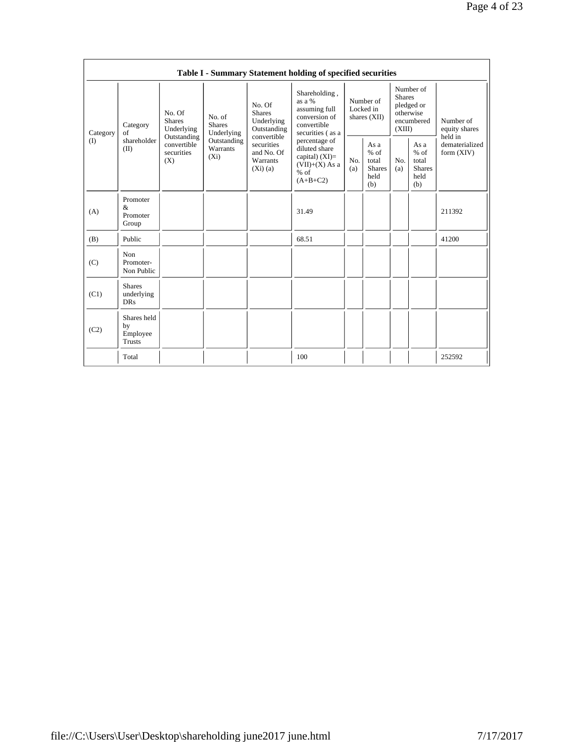|          |                                                |                                                 |                                                                                                                       |                                                      | Table I - Summary Statement holding of specified securities                                    |                                        |                                                         |                                                                               |                                                         |                                       |
|----------|------------------------------------------------|-------------------------------------------------|-----------------------------------------------------------------------------------------------------------------------|------------------------------------------------------|------------------------------------------------------------------------------------------------|----------------------------------------|---------------------------------------------------------|-------------------------------------------------------------------------------|---------------------------------------------------------|---------------------------------------|
| Category | Category<br>of                                 | No. Of<br><b>Shares</b><br>Underlying           |                                                                                                                       | No. Of<br><b>Shares</b><br>Underlying<br>Outstanding | Shareholding,<br>as a %<br>assuming full<br>conversion of<br>convertible<br>securities (as a   | Number of<br>Locked in<br>shares (XII) |                                                         | Number of<br><b>Shares</b><br>pledged or<br>otherwise<br>encumbered<br>(XIII) |                                                         | Number of<br>equity shares<br>held in |
| (        | shareholder<br>(II)                            | Outstanding<br>convertible<br>securities<br>(X) | Underlying<br>convertible<br>Outstanding<br>securities<br>Warrants<br>and No. Of<br>$(X_i)$<br>Warrants<br>$(Xi)$ (a) |                                                      | percentage of<br>diluted share<br>capital) $(XI)=$<br>$(VII)+(X)$ As a<br>$%$ of<br>$(A+B+C2)$ | No.<br>(a)                             | As a<br>$%$ of<br>total<br><b>Shares</b><br>held<br>(b) | No.<br>(a)                                                                    | As a<br>$%$ of<br>total<br><b>Shares</b><br>held<br>(b) | dematerialized<br>form $(XIV)$        |
| (A)      | Promoter<br>$\&$<br>Promoter<br>Group          |                                                 |                                                                                                                       |                                                      | 31.49                                                                                          |                                        |                                                         |                                                                               |                                                         | 211392                                |
| (B)      | Public                                         |                                                 |                                                                                                                       |                                                      | 68.51                                                                                          |                                        |                                                         |                                                                               |                                                         | 41200                                 |
| (C)      | Non<br>Promoter-<br>Non Public                 |                                                 |                                                                                                                       |                                                      |                                                                                                |                                        |                                                         |                                                                               |                                                         |                                       |
| (C1)     | <b>Shares</b><br>underlying<br><b>DRs</b>      |                                                 |                                                                                                                       |                                                      |                                                                                                |                                        |                                                         |                                                                               |                                                         |                                       |
| (C2)     | Shares held<br>by<br>Employee<br><b>Trusts</b> |                                                 |                                                                                                                       |                                                      |                                                                                                |                                        |                                                         |                                                                               |                                                         |                                       |
|          | Total                                          |                                                 |                                                                                                                       |                                                      | 100                                                                                            |                                        |                                                         |                                                                               |                                                         | 252592                                |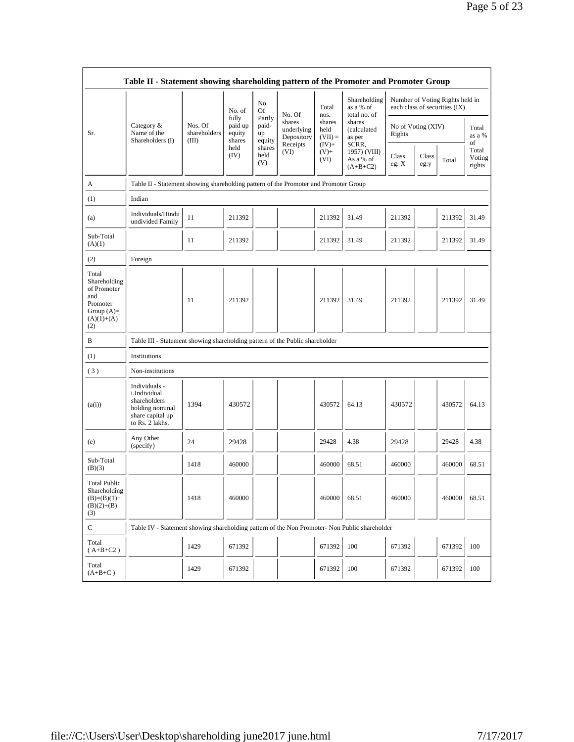|                                                                                                | Table II - Statement showing shareholding pattern of the Promoter and Promoter Group                    |                                  |                                      |                                 |                                    |                             |                                           |                                                                  |                        |        |                           |
|------------------------------------------------------------------------------------------------|---------------------------------------------------------------------------------------------------------|----------------------------------|--------------------------------------|---------------------------------|------------------------------------|-----------------------------|-------------------------------------------|------------------------------------------------------------------|------------------------|--------|---------------------------|
|                                                                                                |                                                                                                         |                                  | No. of                               | No.<br>Of                       | No. Of                             | Total<br>nos.               | Shareholding<br>as a % of<br>total no. of | Number of Voting Rights held in<br>each class of securities (IX) |                        |        |                           |
| Sr.                                                                                            | Category &<br>Name of the<br>Shareholders (I)                                                           | Nos. Of<br>shareholders<br>(III) | fully<br>paid up<br>equity<br>shares | Partly<br>paid-<br>up<br>equity | shares<br>underlying<br>Depository | shares<br>held<br>$(VII) =$ | shares<br>(calculated<br>as per<br>SCRR,  | No of Voting (XIV)<br>Rights                                     |                        |        | Total<br>as a %<br>of     |
|                                                                                                |                                                                                                         |                                  | held<br>(IV)                         | shares<br>held<br>(V)           | Receipts<br>(VI)                   | $(IV)+$<br>$(V) +$<br>(VI)  | 1957) (VIII)<br>As a % of<br>$(A+B+C2)$   | Class<br>eg: X                                                   | Class<br>Total<br>eg:y |        | Total<br>Voting<br>rights |
| A                                                                                              | Table II - Statement showing shareholding pattern of the Promoter and Promoter Group                    |                                  |                                      |                                 |                                    |                             |                                           |                                                                  |                        |        |                           |
| (1)                                                                                            | Indian                                                                                                  |                                  |                                      |                                 |                                    |                             |                                           |                                                                  |                        |        |                           |
| (a)                                                                                            | Individuals/Hindu<br>undivided Family                                                                   | 11                               | 211392                               |                                 |                                    | 211392                      | 31.49                                     | 211392                                                           |                        | 211392 | 31.49                     |
| Sub-Total<br>(A)(1)                                                                            |                                                                                                         | 11                               | 211392                               |                                 |                                    | 211392                      | 31.49                                     | 211392                                                           |                        | 211392 | 31.49                     |
| (2)                                                                                            | Foreign                                                                                                 |                                  |                                      |                                 |                                    |                             |                                           |                                                                  |                        |        |                           |
| Total<br>Shareholding<br>of Promoter<br>and<br>Promoter<br>Group $(A)=$<br>$(A)(1)+(A)$<br>(2) |                                                                                                         | 11                               | 211392                               |                                 |                                    | 211392                      | 31.49                                     | 211392                                                           |                        | 211392 | 31.49                     |
| B                                                                                              | Table III - Statement showing shareholding pattern of the Public shareholder                            |                                  |                                      |                                 |                                    |                             |                                           |                                                                  |                        |        |                           |
| (1)                                                                                            | Institutions                                                                                            |                                  |                                      |                                 |                                    |                             |                                           |                                                                  |                        |        |                           |
| (3)                                                                                            | Non-institutions                                                                                        |                                  |                                      |                                 |                                    |                             |                                           |                                                                  |                        |        |                           |
| (a(i))                                                                                         | Individuals -<br>i.Individual<br>shareholders<br>holding nominal<br>share capital up<br>to Rs. 2 lakhs. | 1394                             | 430572                               |                                 |                                    | 430572                      | 64.13                                     | 430572                                                           |                        | 430572 | 64.13                     |
| (e)                                                                                            | Any Other<br>(specify)                                                                                  | 24                               | 29428                                |                                 |                                    | 29428                       | 4.38                                      | 29428                                                            |                        | 29428  | 4.38                      |
| Sub-Total<br>(B)(3)                                                                            |                                                                                                         | 1418                             | 460000                               |                                 |                                    | 460000                      | 68.51                                     | 460000                                                           |                        | 460000 | 68.51                     |
| <b>Total Public</b><br>Shareholding<br>$(B)=(B)(1)+$<br>$(B)(2)+(B)$<br>(3)                    |                                                                                                         | 1418                             | 460000                               |                                 |                                    | 460000                      | 68.51                                     | 460000                                                           |                        | 460000 | 68.51                     |
| $\mathbf C$                                                                                    | Table IV - Statement showing shareholding pattern of the Non Promoter- Non Public shareholder           |                                  |                                      |                                 |                                    |                             |                                           |                                                                  |                        |        |                           |
| Total<br>$(A+B+C2)$                                                                            |                                                                                                         | 1429                             | 671392                               |                                 |                                    | 671392                      | 100                                       | 671392                                                           |                        | 671392 | 100                       |
| Total<br>$(A+B+C)$                                                                             |                                                                                                         | 1429                             | 671392                               |                                 |                                    | 671392                      | 100                                       | 671392                                                           |                        | 671392 | 100                       |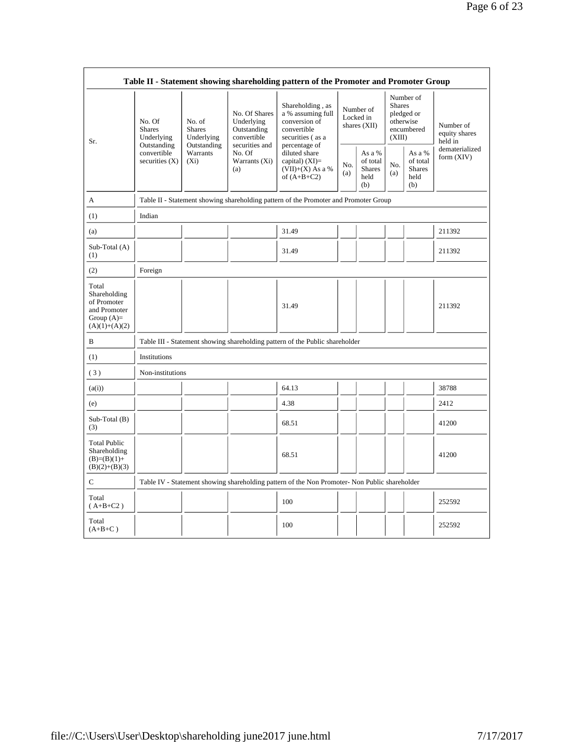|                                                                                         |                                                |                                                                                                    |                                                  | Table II - Statement showing shareholding pattern of the Promoter and Promoter Group          |                                          |                                                    |                                                                               |                                                    |                                       |
|-----------------------------------------------------------------------------------------|------------------------------------------------|----------------------------------------------------------------------------------------------------|--------------------------------------------------|-----------------------------------------------------------------------------------------------|------------------------------------------|----------------------------------------------------|-------------------------------------------------------------------------------|----------------------------------------------------|---------------------------------------|
| Sr.                                                                                     | No. Of<br><b>Shares</b><br>Underlying          | No. Of Shares<br>No. of<br>Underlying<br>Outstanding<br><b>Shares</b><br>convertible<br>Underlying |                                                  | Shareholding, as<br>a % assuming full<br>conversion of<br>convertible<br>securities (as a     | Number of<br>Locked in<br>shares $(XII)$ |                                                    | Number of<br><b>Shares</b><br>pledged or<br>otherwise<br>encumbered<br>(XIII) |                                                    | Number of<br>equity shares<br>held in |
|                                                                                         | Outstanding<br>convertible<br>securities $(X)$ | Outstanding<br>Warrants<br>$(X_i)$                                                                 | securities and<br>No. Of<br>Warrants (Xi)<br>(a) | percentage of<br>diluted share<br>capital) $(XI)=$<br>$(VII)+(X)$ As a %<br>of $(A+B+C2)$     | No.<br>(a)                               | As a %<br>of total<br><b>Shares</b><br>held<br>(b) | No.<br>(a)                                                                    | As a %<br>of total<br><b>Shares</b><br>held<br>(b) | dematerialized<br>form (XIV)          |
| A                                                                                       |                                                |                                                                                                    |                                                  | Table II - Statement showing shareholding pattern of the Promoter and Promoter Group          |                                          |                                                    |                                                                               |                                                    |                                       |
| (1)                                                                                     | Indian                                         |                                                                                                    |                                                  |                                                                                               |                                          |                                                    |                                                                               |                                                    |                                       |
| (a)                                                                                     |                                                |                                                                                                    |                                                  | 31.49                                                                                         |                                          |                                                    |                                                                               |                                                    | 211392                                |
| Sub-Total (A)<br>(1)                                                                    |                                                |                                                                                                    |                                                  | 31.49                                                                                         |                                          |                                                    |                                                                               |                                                    | 211392                                |
| (2)                                                                                     | Foreign                                        |                                                                                                    |                                                  |                                                                                               |                                          |                                                    |                                                                               |                                                    |                                       |
| Total<br>Shareholding<br>of Promoter<br>and Promoter<br>Group $(A)=$<br>$(A)(1)+(A)(2)$ |                                                |                                                                                                    |                                                  | 31.49                                                                                         |                                          |                                                    |                                                                               |                                                    | 211392                                |
| B                                                                                       |                                                |                                                                                                    |                                                  | Table III - Statement showing shareholding pattern of the Public shareholder                  |                                          |                                                    |                                                                               |                                                    |                                       |
| (1)                                                                                     | Institutions                                   |                                                                                                    |                                                  |                                                                                               |                                          |                                                    |                                                                               |                                                    |                                       |
| (3)                                                                                     | Non-institutions                               |                                                                                                    |                                                  |                                                                                               |                                          |                                                    |                                                                               |                                                    |                                       |
| (a(i))                                                                                  |                                                |                                                                                                    |                                                  | 64.13                                                                                         |                                          |                                                    |                                                                               |                                                    | 38788                                 |
| (e)                                                                                     |                                                |                                                                                                    |                                                  | 4.38                                                                                          |                                          |                                                    |                                                                               |                                                    | 2412                                  |
| Sub-Total (B)<br>(3)                                                                    |                                                |                                                                                                    |                                                  | 68.51                                                                                         |                                          |                                                    |                                                                               |                                                    | 41200                                 |
| <b>Total Public</b><br>Shareholding<br>$(B)=(B)(1)+$<br>$(B)(2)+(B)(3)$                 |                                                |                                                                                                    |                                                  | 68.51                                                                                         |                                          |                                                    |                                                                               |                                                    | 41200                                 |
| С                                                                                       |                                                |                                                                                                    |                                                  | Table IV - Statement showing shareholding pattern of the Non Promoter- Non Public shareholder |                                          |                                                    |                                                                               |                                                    |                                       |
| Total<br>$(A+B+C2)$                                                                     |                                                |                                                                                                    |                                                  | 100                                                                                           |                                          |                                                    |                                                                               |                                                    | 252592                                |
| Total<br>$(A+B+C)$                                                                      |                                                |                                                                                                    |                                                  | 100                                                                                           |                                          |                                                    |                                                                               |                                                    | 252592                                |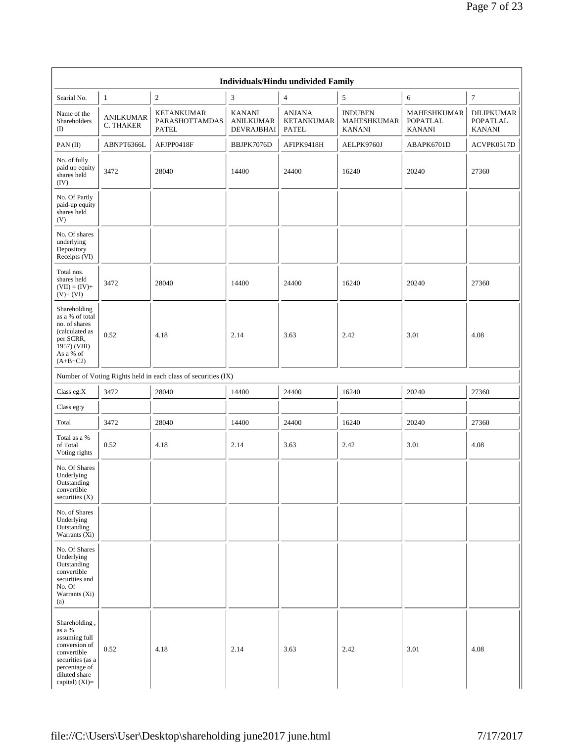|                                                                                                                                                    |                               |                                                               |                                                        | Individuals/Hindu undivided Family                 |                                                       |                                                        |                                                |
|----------------------------------------------------------------------------------------------------------------------------------------------------|-------------------------------|---------------------------------------------------------------|--------------------------------------------------------|----------------------------------------------------|-------------------------------------------------------|--------------------------------------------------------|------------------------------------------------|
| Searial No.                                                                                                                                        | 1                             | $\sqrt{2}$                                                    | 3                                                      | $\overline{4}$                                     | $\sqrt{5}$                                            | 6                                                      | 7                                              |
| Name of the<br>Shareholders<br>$\textcircled{\scriptsize{1}}$                                                                                      | <b>ANILKUMAR</b><br>C. THAKER | <b>KETANKUMAR</b><br>PARASHOTTAMDAS<br><b>PATEL</b>           | <b>KANANI</b><br><b>ANILKUMAR</b><br><b>DEVRAJBHAI</b> | <b>ANJANA</b><br><b>KETANKUMAR</b><br><b>PATEL</b> | <b>INDUBEN</b><br><b>MAHESHKUMAR</b><br><b>KANANI</b> | <b>MAHESHKUMAR</b><br><b>POPATLAL</b><br><b>KANANI</b> | <b>DILIPKUMAR</b><br>POPATLAL<br><b>KANANI</b> |
| PAN (II)                                                                                                                                           | ABNPT6366L                    | AFJPP0418F                                                    | BBJPK7076D                                             | AFIPK9418H                                         | AELPK9760J                                            | ABAPK6701D                                             | ACVPK0517D                                     |
| No. of fully<br>paid up equity<br>shares held<br>(IV)                                                                                              | 3472                          | 28040                                                         | 14400                                                  | 24400                                              | 16240                                                 | 20240                                                  | 27360                                          |
| No. Of Partly<br>paid-up equity<br>shares held<br>(V)                                                                                              |                               |                                                               |                                                        |                                                    |                                                       |                                                        |                                                |
| No. Of shares<br>underlying<br>Depository<br>Receipts (VI)                                                                                         |                               |                                                               |                                                        |                                                    |                                                       |                                                        |                                                |
| Total nos.<br>shares held<br>$(VII) = (IV) +$<br>$(V)+(VI)$                                                                                        | 3472                          | 28040                                                         | 14400                                                  | 24400                                              | 16240                                                 | 20240                                                  | 27360                                          |
| Shareholding<br>as a % of total<br>no. of shares<br>(calculated as<br>per SCRR,<br>1957) (VIII)<br>As a % of<br>$(A+B+C2)$                         | 0.52                          | 4.18                                                          | 2.14                                                   | 3.63                                               | 2.42                                                  | 3.01                                                   | 4.08                                           |
|                                                                                                                                                    |                               | Number of Voting Rights held in each class of securities (IX) |                                                        |                                                    |                                                       |                                                        |                                                |
| Class eg: $X$                                                                                                                                      | 3472                          | 28040                                                         | 14400                                                  | 24400                                              | 16240                                                 | 20240                                                  | 27360                                          |
| Class eg:y                                                                                                                                         |                               |                                                               |                                                        |                                                    |                                                       |                                                        |                                                |
| Total                                                                                                                                              | 3472                          | 28040                                                         | 14400                                                  | 24400                                              | 16240                                                 | 20240                                                  | 27360                                          |
| Total as a %<br>of Total<br>Voting rights                                                                                                          | 0.52                          | 4.18                                                          | 2.14                                                   | 3.63                                               | 2.42                                                  | 3.01                                                   | 4.08                                           |
| No. Of Shares<br>Underlying<br>Outstanding<br>convertible<br>securities (X)                                                                        |                               |                                                               |                                                        |                                                    |                                                       |                                                        |                                                |
| No. of Shares<br>Underlying<br>Outstanding<br>Warrants (Xi)                                                                                        |                               |                                                               |                                                        |                                                    |                                                       |                                                        |                                                |
| No. Of Shares<br>Underlying<br>Outstanding<br>convertible<br>securities and<br>No. Of<br>Warrants (Xi)<br>(a)                                      |                               |                                                               |                                                        |                                                    |                                                       |                                                        |                                                |
| Shareholding,<br>as a %<br>assuming full<br>conversion of<br>convertible<br>securities (as a<br>percentage of<br>diluted share<br>capital) $(XI)=$ | 0.52                          | 4.18                                                          | 2.14                                                   | 3.63                                               | 2.42                                                  | 3.01                                                   | 4.08                                           |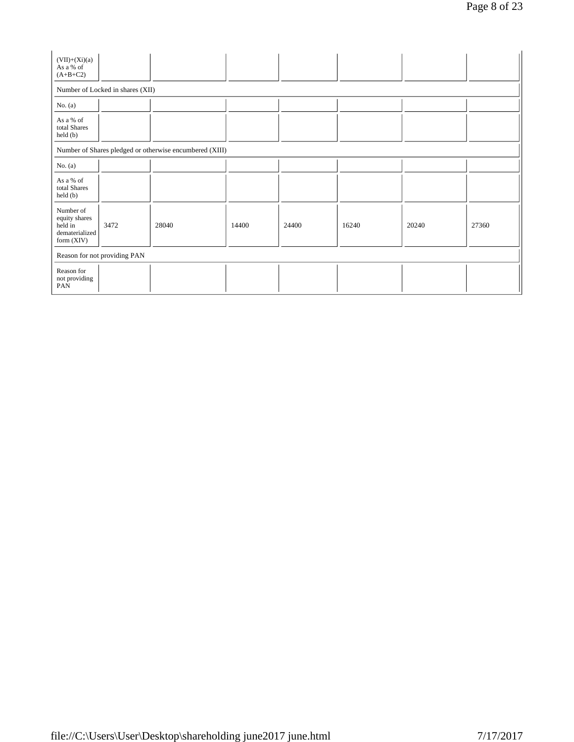| $(VII)+(Xi)(a)$<br>As a % of<br>$(A+B+C2)$                              |                                  |                                                         |       |       |       |       |       |
|-------------------------------------------------------------------------|----------------------------------|---------------------------------------------------------|-------|-------|-------|-------|-------|
|                                                                         | Number of Locked in shares (XII) |                                                         |       |       |       |       |       |
| No. $(a)$                                                               |                                  |                                                         |       |       |       |       |       |
| As a % of<br>total Shares<br>held(b)                                    |                                  |                                                         |       |       |       |       |       |
|                                                                         |                                  | Number of Shares pledged or otherwise encumbered (XIII) |       |       |       |       |       |
| No. $(a)$                                                               |                                  |                                                         |       |       |       |       |       |
| As a % of<br>total Shares<br>held(b)                                    |                                  |                                                         |       |       |       |       |       |
| Number of<br>equity shares<br>held in<br>dematerialized<br>form $(XIV)$ | 3472                             | 28040                                                   | 14400 | 24400 | 16240 | 20240 | 27360 |
|                                                                         | Reason for not providing PAN     |                                                         |       |       |       |       |       |
| Reason for<br>not providing<br>PAN                                      |                                  |                                                         |       |       |       |       |       |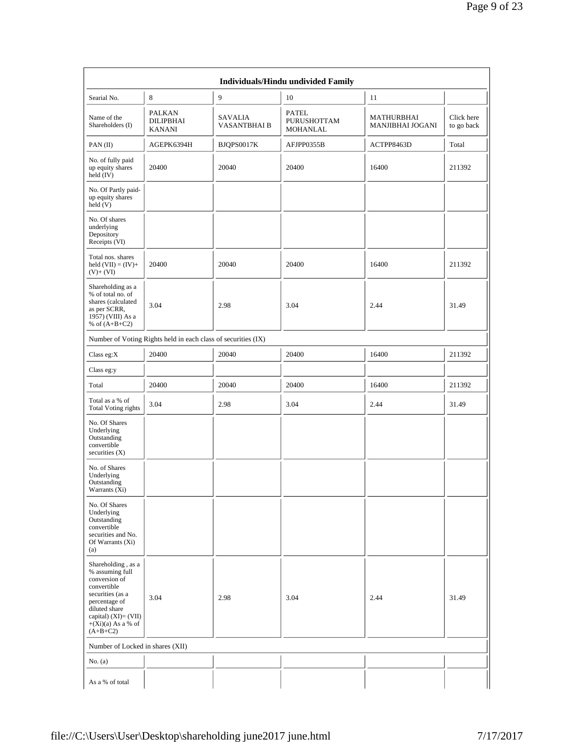|                                                                                                                                                                                            |                                                               |                                       | Individuals/Hindu undivided Family             |                                              |                          |
|--------------------------------------------------------------------------------------------------------------------------------------------------------------------------------------------|---------------------------------------------------------------|---------------------------------------|------------------------------------------------|----------------------------------------------|--------------------------|
| Searial No.                                                                                                                                                                                | 8                                                             | 9                                     | 10                                             | 11                                           |                          |
| Name of the<br>Shareholders (I)                                                                                                                                                            | <b>PALKAN</b><br><b>DILIPBHAI</b><br><b>KANANI</b>            | <b>SAVALIA</b><br><b>VASANTBHAI B</b> | <b>PATEL</b><br>PURUSHOTTAM<br><b>MOHANLAL</b> | <b>MATHURBHAI</b><br><b>MANJIBHAI JOGANI</b> | Click here<br>to go back |
| PAN(II)                                                                                                                                                                                    | AGEPK6394H                                                    | BJQPS0017K                            | AFJPP0355B                                     | ACTPP8463D                                   | Total                    |
| No. of fully paid<br>up equity shares<br>held (IV)                                                                                                                                         | 20400                                                         | 20040                                 | 20400                                          | 16400                                        | 211392                   |
| No. Of Partly paid-<br>up equity shares<br>held (V)                                                                                                                                        |                                                               |                                       |                                                |                                              |                          |
| No. Of shares<br>underlying<br>Depository<br>Receipts (VI)                                                                                                                                 |                                                               |                                       |                                                |                                              |                          |
| Total nos. shares<br>held $(VII) = (IV) +$<br>$(V)+(VI)$                                                                                                                                   | 20400                                                         | 20040                                 | 20400                                          | 16400                                        | 211392                   |
| Shareholding as a<br>% of total no. of<br>shares (calculated<br>as per SCRR,<br>1957) (VIII) As a<br>% of $(A+B+C2)$                                                                       | 3.04                                                          | 2.98                                  | 3.04                                           | 2.44                                         | 31.49                    |
|                                                                                                                                                                                            | Number of Voting Rights held in each class of securities (IX) |                                       |                                                |                                              |                          |
| Class eg: $X$                                                                                                                                                                              | 20400                                                         | 20040                                 | 20400                                          | 16400                                        | 211392                   |
| Class eg:y                                                                                                                                                                                 |                                                               |                                       |                                                |                                              |                          |
| Total                                                                                                                                                                                      | 20400                                                         | 20040                                 | 20400                                          | 16400                                        | 211392                   |
| Total as a % of<br><b>Total Voting rights</b>                                                                                                                                              | 3.04                                                          | 2.98                                  | 3.04                                           | 2.44                                         | 31.49                    |
| No. Of Shares<br>Underlying<br>Outstanding<br>convertible<br>securities $(X)$                                                                                                              |                                                               |                                       |                                                |                                              |                          |
| No. of Shares<br>Underlying<br>Outstanding<br>Warrants (Xi)                                                                                                                                |                                                               |                                       |                                                |                                              |                          |
| No. Of Shares<br>Underlying<br>Outstanding<br>convertible<br>securities and No.<br>Of Warrants $(X_i)$<br>(a)                                                                              |                                                               |                                       |                                                |                                              |                          |
| Shareholding, as a<br>% assuming full<br>conversion of<br>convertible<br>securities (as a<br>percentage of<br>diluted share<br>capital) $(XI)=(VII)$<br>$+(Xi)(a)$ As a % of<br>$(A+B+C2)$ | 3.04                                                          | 2.98                                  | 3.04                                           | 2.44                                         | 31.49                    |
| Number of Locked in shares (XII)                                                                                                                                                           |                                                               |                                       |                                                |                                              |                          |
| No. (a)                                                                                                                                                                                    |                                                               |                                       |                                                |                                              |                          |
| As a % of total                                                                                                                                                                            |                                                               |                                       |                                                |                                              |                          |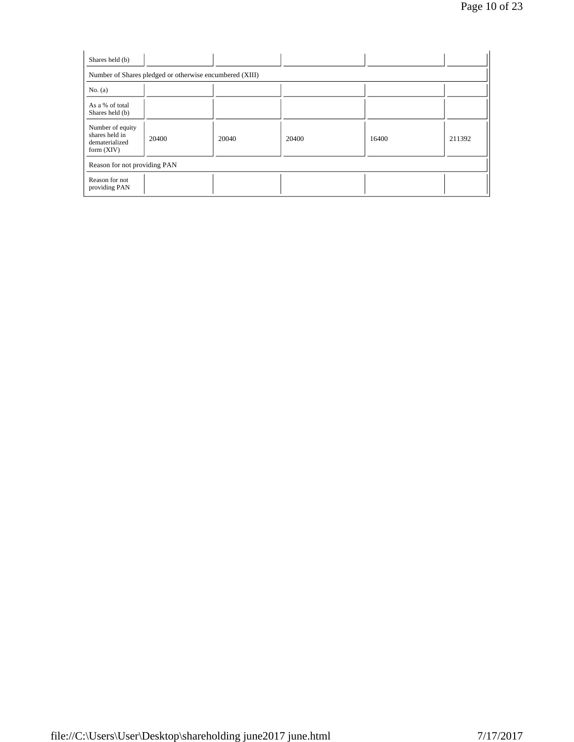| Shares held (b)                                                      |       |       |       |       |        |  |  |  |  |  |  |
|----------------------------------------------------------------------|-------|-------|-------|-------|--------|--|--|--|--|--|--|
| Number of Shares pledged or otherwise encumbered (XIII)              |       |       |       |       |        |  |  |  |  |  |  |
| No. $(a)$                                                            |       |       |       |       |        |  |  |  |  |  |  |
| As a % of total<br>Shares held (b)                                   |       |       |       |       |        |  |  |  |  |  |  |
| Number of equity<br>shares held in<br>dematerialized<br>form $(XIV)$ | 20400 | 20040 | 20400 | 16400 | 211392 |  |  |  |  |  |  |
| Reason for not providing PAN                                         |       |       |       |       |        |  |  |  |  |  |  |
| Reason for not<br>providing PAN                                      |       |       |       |       |        |  |  |  |  |  |  |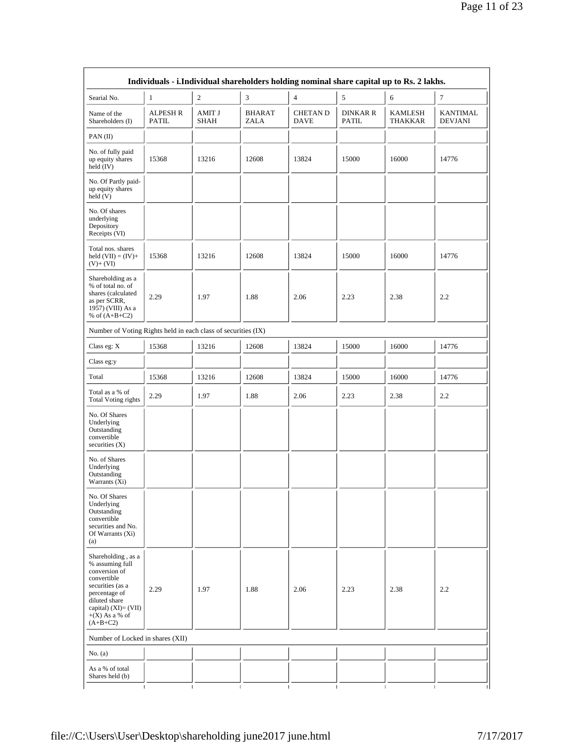|                                                                                                                                                                                          |                          |                |                              |                                |                                 | Individuals - i.Individual shareholders holding nominal share capital up to Rs. 2 lakhs. |                                |
|------------------------------------------------------------------------------------------------------------------------------------------------------------------------------------------|--------------------------|----------------|------------------------------|--------------------------------|---------------------------------|------------------------------------------------------------------------------------------|--------------------------------|
| Searial No.                                                                                                                                                                              | $\mathbf{1}$             | $\sqrt{2}$     | 3                            | $\overline{4}$                 | 5                               | 6                                                                                        | $\boldsymbol{7}$               |
| Name of the<br>Shareholders (I)                                                                                                                                                          | <b>ALPESH R</b><br>PATIL | AMIT J<br>SHAH | <b>BHARAT</b><br><b>ZALA</b> | <b>CHETAN D</b><br><b>DAVE</b> | <b>DINKAR R</b><br><b>PATIL</b> | KAMLESH<br>THAKKAR                                                                       | KANTIMAL<br><b>DEVJANI</b>     |
| PAN (II)                                                                                                                                                                                 |                          |                |                              |                                |                                 |                                                                                          |                                |
| No. of fully paid<br>up equity shares<br>held (IV)                                                                                                                                       | 15368                    | 13216          | 12608                        | 13824                          | 15000                           | 16000                                                                                    | 14776                          |
| No. Of Partly paid-<br>up equity shares<br>$\text{held}(V)$                                                                                                                              |                          |                |                              |                                |                                 |                                                                                          |                                |
| No. Of shares<br>underlying<br>Depository<br>Receipts (VI)                                                                                                                               |                          |                |                              |                                |                                 |                                                                                          |                                |
| Total nos. shares<br>held $(VII) = (IV) +$<br>$(V)+(VI)$                                                                                                                                 | 15368                    | 13216          | 12608                        | 13824                          | 15000                           | 16000                                                                                    | 14776                          |
| Shareholding as a<br>% of total no. of<br>shares (calculated<br>as per SCRR,<br>1957) (VIII) As a<br>% of $(A+B+C2)$                                                                     | 2.29                     | 1.97           | 1.88                         | 2.06                           | 2.23                            | 2.38                                                                                     | 2.2                            |
| Number of Voting Rights held in each class of securities (IX)                                                                                                                            |                          |                |                              |                                |                                 |                                                                                          |                                |
| Class eg: X                                                                                                                                                                              | 15368                    | 13216          | 12608                        | 13824                          | 15000                           | 16000                                                                                    | 14776                          |
| Class eg:y                                                                                                                                                                               |                          |                |                              |                                |                                 |                                                                                          |                                |
| Total                                                                                                                                                                                    | 15368                    | 13216          | 12608                        | 13824                          | 15000                           | 16000                                                                                    | 14776                          |
| Total as a % of<br><b>Total Voting rights</b>                                                                                                                                            | 2.29                     | 1.97           | 1.88                         | 2.06                           | 2.23                            | 2.38                                                                                     | 2.2                            |
| No. Of Shares<br>Underlying<br>Outstanding<br>convertible<br>securities $(X)$                                                                                                            |                          |                |                              |                                |                                 |                                                                                          |                                |
| No. of Shares<br>Underlying<br>Outstanding<br>Warrants (Xi)                                                                                                                              |                          |                |                              |                                |                                 |                                                                                          |                                |
| No. Of Shares<br>Underlying<br>Outstanding<br>convertible<br>securities and No.<br>Of Warrants (Xi)<br>(a)                                                                               |                          |                |                              |                                |                                 |                                                                                          |                                |
| Shareholding, as a<br>% assuming full<br>conversion of<br>convertible<br>securities (as a<br>percentage of<br>diluted share<br>capital) $(XI) = (VII)$<br>$+(X)$ As a % of<br>$(A+B+C2)$ | 2.29                     | 1.97           | 1.88                         | 2.06                           | 2.23                            | 2.38                                                                                     | 2.2                            |
| Number of Locked in shares (XII)                                                                                                                                                         |                          |                |                              |                                |                                 |                                                                                          |                                |
| No. $(a)$                                                                                                                                                                                |                          |                |                              |                                |                                 |                                                                                          |                                |
| As a % of total<br>Shares held (b)                                                                                                                                                       |                          |                |                              |                                |                                 |                                                                                          |                                |
|                                                                                                                                                                                          | $\mathbf{I}$             | $\mathbf{I}$   | $\mathbf{I}$                 | $\mathbf{I}$                   | $\mathbf{I}$                    | $\mathbf{I}$                                                                             | $\mathbf{I}$<br>$\blacksquare$ |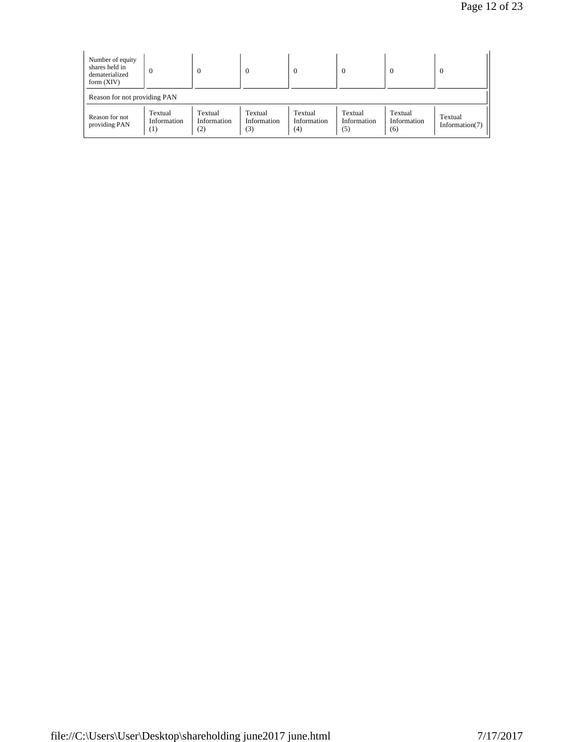| Number of equity<br>shares held in<br>dematerialized<br>form $(XIV)$ | $\overline{0}$                | $\Omega$                      | $\mathbf{0}$                  | $\Omega$                      | $\Omega$                      | $\Omega$                      | $\Omega$                     |  |  |  |
|----------------------------------------------------------------------|-------------------------------|-------------------------------|-------------------------------|-------------------------------|-------------------------------|-------------------------------|------------------------------|--|--|--|
|                                                                      | Reason for not providing PAN  |                               |                               |                               |                               |                               |                              |  |  |  |
| Reason for not<br>providing PAN                                      | Textual<br>Information<br>(1) | Textual<br>Information<br>(2) | Textual<br>Information<br>(3) | Textual<br>Information<br>(4) | Textual<br>Information<br>(5) | Textual<br>Information<br>(6) | Textual<br>Information $(7)$ |  |  |  |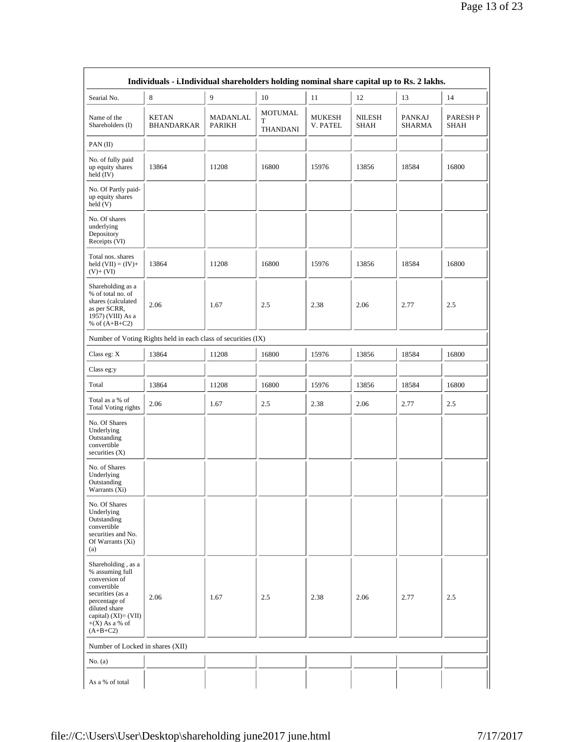|                                                                                                                                                                                          | Individuals - i.Individual shareholders holding nominal share capital up to Rs. 2 lakhs. |                    |                                        |                           |                |                         |                        |
|------------------------------------------------------------------------------------------------------------------------------------------------------------------------------------------|------------------------------------------------------------------------------------------|--------------------|----------------------------------------|---------------------------|----------------|-------------------------|------------------------|
| Searial No.                                                                                                                                                                              | 8                                                                                        | 9                  | 10                                     | 11                        | 12             | 13                      | 14                     |
| Name of the<br>Shareholders (I)                                                                                                                                                          | <b>KETAN</b><br><b>BHANDARKAR</b>                                                        | MADANLAL<br>PARIKH | <b>MOTUMAL</b><br>T<br><b>THANDANI</b> | <b>MUKESH</b><br>V. PATEL | NILESH<br>SHAH | <b>PANKAJ</b><br>SHARMA | <b>PARESHP</b><br>SHAH |
| PAN(II)                                                                                                                                                                                  |                                                                                          |                    |                                        |                           |                |                         |                        |
| No. of fully paid<br>up equity shares<br>held $(IV)$                                                                                                                                     | 13864                                                                                    | 11208              | 16800                                  | 15976                     | 13856          | 18584                   | 16800                  |
| No. Of Partly paid-<br>up equity shares<br>$\text{held}(V)$                                                                                                                              |                                                                                          |                    |                                        |                           |                |                         |                        |
| No. Of shares<br>underlying<br>Depository<br>Receipts (VI)                                                                                                                               |                                                                                          |                    |                                        |                           |                |                         |                        |
| Total nos. shares<br>held $(VII) = (IV) +$<br>$(V)+(VI)$                                                                                                                                 | 13864                                                                                    | 11208              | 16800                                  | 15976                     | 13856          | 18584                   | 16800                  |
| Shareholding as a<br>% of total no. of<br>shares (calculated<br>as per SCRR,<br>1957) (VIII) As a<br>% of $(A+B+C2)$                                                                     | 2.06                                                                                     | 1.67               | 2.5                                    | 2.38                      | 2.06           | 2.77                    | 2.5                    |
|                                                                                                                                                                                          | Number of Voting Rights held in each class of securities (IX)                            |                    |                                        |                           |                |                         |                        |
| Class eg: $X$                                                                                                                                                                            | 13864                                                                                    | 11208              | 16800                                  | 15976                     | 13856          | 18584                   | 16800                  |
| Class eg:y                                                                                                                                                                               |                                                                                          |                    |                                        |                           |                |                         |                        |
| Total                                                                                                                                                                                    | 13864                                                                                    | 11208              | 16800                                  | 15976                     | 13856          | 18584                   | 16800                  |
| Total as a % of<br><b>Total Voting rights</b>                                                                                                                                            | 2.06                                                                                     | 1.67               | 2.5                                    | 2.38                      | 2.06           | 2.77                    | 2.5                    |
| No. Of Shares<br>Underlying<br>Outstanding<br>convertible<br>securities $(X)$                                                                                                            |                                                                                          |                    |                                        |                           |                |                         |                        |
| No. of Shares<br>Underlying<br>Outstanding<br>Warrants (Xi)                                                                                                                              |                                                                                          |                    |                                        |                           |                |                         |                        |
| No. Of Shares<br>Underlying<br>Outstanding<br>convertible<br>securities and No.<br>Of Warrants (Xi)<br>(a)                                                                               |                                                                                          |                    |                                        |                           |                |                         |                        |
| Shareholding, as a<br>% assuming full<br>conversion of<br>convertible<br>securities (as a<br>percentage of<br>diluted share<br>capital) $(XI) = (VII)$<br>$+(X)$ As a % of<br>$(A+B+C2)$ | 2.06                                                                                     | 1.67               | 2.5                                    | 2.38                      | 2.06           | 2.77                    | 2.5                    |
| Number of Locked in shares (XII)                                                                                                                                                         |                                                                                          |                    |                                        |                           |                |                         |                        |
| No. $(a)$                                                                                                                                                                                |                                                                                          |                    |                                        |                           |                |                         |                        |
| As a % of total                                                                                                                                                                          |                                                                                          |                    |                                        |                           |                |                         |                        |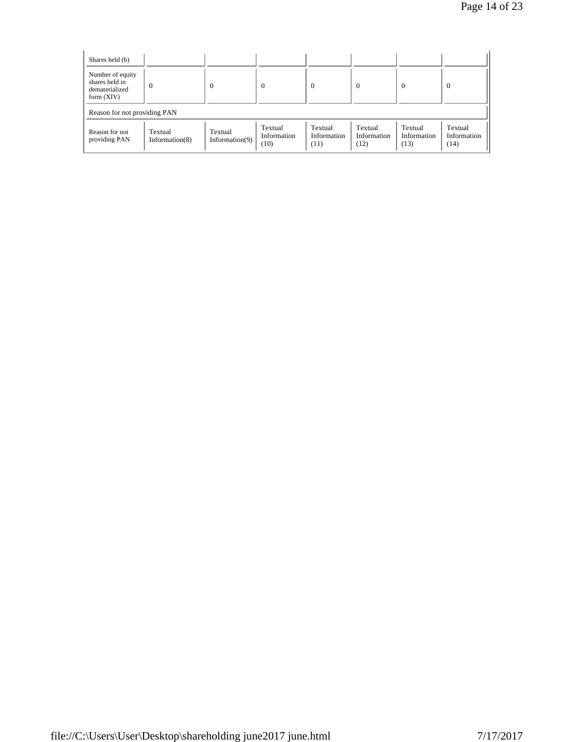| Shares held (b)                                                      |                              |                           |                                |                                |                                |                                |                                |
|----------------------------------------------------------------------|------------------------------|---------------------------|--------------------------------|--------------------------------|--------------------------------|--------------------------------|--------------------------------|
| Number of equity<br>shares held in<br>dematerialized<br>form $(XIV)$ | $\theta$                     | $\Omega$                  | $\Omega$                       | $\mathbf{0}$                   | $\Omega$                       | $\Omega$                       | $\Omega$                       |
| Reason for not providing PAN                                         |                              |                           |                                |                                |                                |                                |                                |
| Reason for not<br>providing PAN                                      | Textual<br>Information $(8)$ | Textual<br>Information(9) | Textual<br>Information<br>(10) | Textual<br>Information<br>(11) | Textual<br>Information<br>(12) | Textual<br>Information<br>(13) | Textual<br>Information<br>(14) |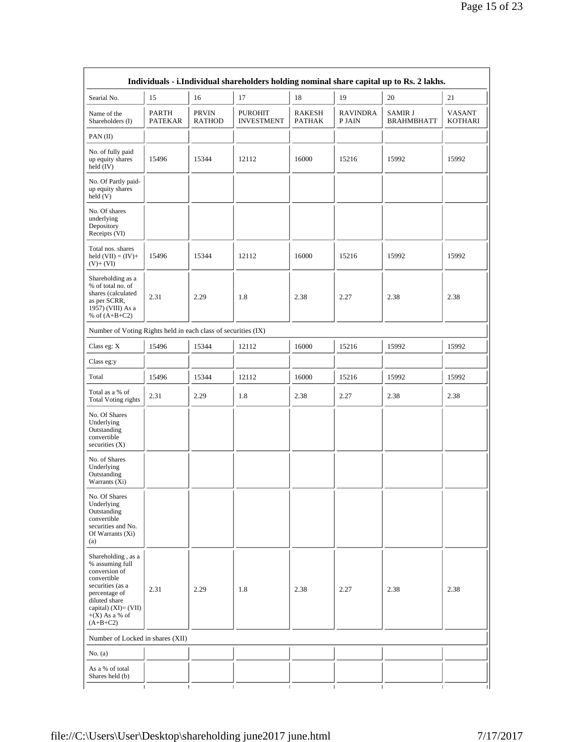| Individuals - i.Individual shareholders holding nominal share capital up to Rs. 2 lakhs.                                                                                               |                         |                               |                                     |                         |                              |                                     |                          |
|----------------------------------------------------------------------------------------------------------------------------------------------------------------------------------------|-------------------------|-------------------------------|-------------------------------------|-------------------------|------------------------------|-------------------------------------|--------------------------|
| Searial No.                                                                                                                                                                            | 15                      | 16                            | 17                                  | 18                      | 19                           | 20                                  | 21                       |
| Name of the<br>Shareholders (I)                                                                                                                                                        | PARTH<br><b>PATEKAR</b> | <b>PRVIN</b><br><b>RATHOD</b> | <b>PUROHIT</b><br><b>INVESTMENT</b> | RAKESH<br><b>PATHAK</b> | <b>RAVINDRA</b><br>P JAIN    | <b>SAMIR J</b><br><b>BRAHMBHATT</b> | VASANT<br><b>KOTHARI</b> |
| PAN (II)                                                                                                                                                                               |                         |                               |                                     |                         |                              |                                     |                          |
| No. of fully paid<br>up equity shares<br>held (IV)                                                                                                                                     | 15496                   | 15344                         | 12112                               | 16000                   | 15216                        | 15992                               | 15992                    |
| No. Of Partly paid-<br>up equity shares<br>$\text{held}(\text{V})$                                                                                                                     |                         |                               |                                     |                         |                              |                                     |                          |
| No. Of shares<br>underlying<br>Depository<br>Receipts (VI)                                                                                                                             |                         |                               |                                     |                         |                              |                                     |                          |
| Total nos. shares<br>held $(VII) = (IV) +$<br>$(V)+(VI)$                                                                                                                               | 15496                   | 15344                         | 12112                               | 16000                   | 15216                        | 15992                               | 15992                    |
| Shareholding as a<br>% of total no. of<br>shares (calculated<br>as per SCRR,<br>1957) (VIII) As a<br>% of $(A+B+C2)$                                                                   | 2.31                    | 2.29                          | 1.8                                 | 2.38                    | 2.27                         | 2.38                                | 2.38                     |
| Number of Voting Rights held in each class of securities (IX)                                                                                                                          |                         |                               |                                     |                         |                              |                                     |                          |
| Class eg: $X$                                                                                                                                                                          | 15496                   | 15344                         | 12112                               | 16000                   | 15216                        | 15992                               | 15992                    |
| Class eg:y                                                                                                                                                                             |                         |                               |                                     |                         |                              |                                     |                          |
| Total                                                                                                                                                                                  | 15496                   | 15344                         | 12112                               | 16000                   | 15216                        | 15992                               | 15992                    |
| Total as a % of<br><b>Total Voting rights</b>                                                                                                                                          | 2.31                    | 2.29                          | 1.8                                 | 2.38                    | 2.27                         | 2.38                                | 2.38                     |
| No. Of Shares<br>Underlying<br>Outstanding<br>convertible<br>securities $(X)$                                                                                                          |                         |                               |                                     |                         |                              |                                     |                          |
| No. of Shares<br>Underlying<br>Outstanding<br>Warrants (Xi)                                                                                                                            |                         |                               |                                     |                         |                              |                                     |                          |
| No. Of Shares<br>Underlying<br>Outstanding<br>convertible<br>securities and No.<br>Of Warrants (Xi)<br>(a)                                                                             |                         |                               |                                     |                         |                              |                                     |                          |
| Shareholding, as a<br>% assuming full<br>conversion of<br>convertible<br>securities (as a<br>percentage of<br>diluted share<br>capital) $(XI)=(VII)$<br>$+(X)$ As a % of<br>$(A+B+C2)$ | 2.31                    | 2.29                          | 1.8                                 | 2.38                    | 2.27                         | 2.38                                | 2.38                     |
| Number of Locked in shares (XII)                                                                                                                                                       |                         |                               |                                     |                         |                              |                                     |                          |
| No. (a)                                                                                                                                                                                |                         |                               |                                     |                         |                              |                                     |                          |
| As a % of total<br>Shares held (b)                                                                                                                                                     |                         |                               |                                     |                         |                              |                                     |                          |
|                                                                                                                                                                                        | $\mathbf{I}$            |                               |                                     | $\mathbf{I}$            | $\mathbf{I}$<br>$\mathbf{I}$ |                                     |                          |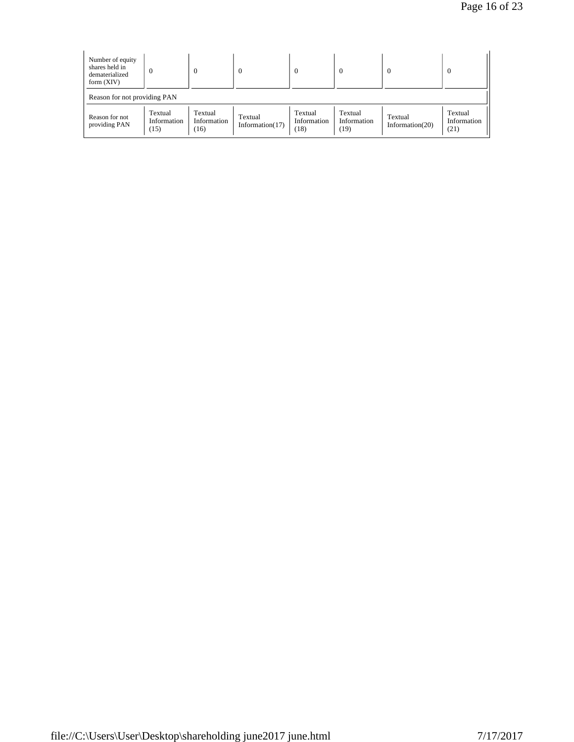Page 16 of 23

| Number of equity<br>shares held in<br>dematerialized<br>form $(XIV)$ | $\bf{0}$                       | $\boldsymbol{0}$               | $\overline{0}$                |                                | $\bf{0}$                       | $\boldsymbol{0}$              | $\theta$                       |
|----------------------------------------------------------------------|--------------------------------|--------------------------------|-------------------------------|--------------------------------|--------------------------------|-------------------------------|--------------------------------|
| Reason for not providing PAN                                         |                                |                                |                               |                                |                                |                               |                                |
| Reason for not<br>providing PAN                                      | Textual<br>Information<br>(15) | Textual<br>Information<br>(16) | Textual<br>Information $(17)$ | Textual<br>Information<br>(18) | Textual<br>Information<br>(19) | Textual<br>Information $(20)$ | Textual<br>Information<br>(21) |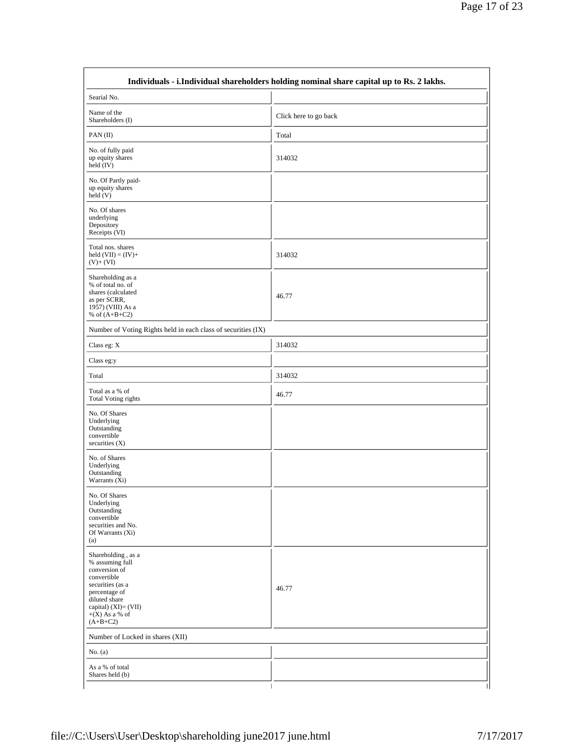|                                                                                                                                                                                       | Individuals - i.Individual shareholders holding nominal share capital up to Rs. 2 lakhs. |
|---------------------------------------------------------------------------------------------------------------------------------------------------------------------------------------|------------------------------------------------------------------------------------------|
| Searial No.                                                                                                                                                                           |                                                                                          |
| Name of the<br>Shareholders (I)                                                                                                                                                       | Click here to go back                                                                    |
| PAN $(II)$                                                                                                                                                                            | Total                                                                                    |
| No. of fully paid<br>up equity shares<br>held $(IV)$                                                                                                                                  | 314032                                                                                   |
| No. Of Partly paid-<br>up equity shares<br>$\text{held}(V)$                                                                                                                           |                                                                                          |
| No. Of shares<br>underlying<br>Depository<br>Receipts (VI)                                                                                                                            |                                                                                          |
| Total nos. shares<br>held $(VII) = (IV) +$<br>$(V)$ + $(VI)$                                                                                                                          | 314032                                                                                   |
| Shareholding as a<br>% of total no. of<br>shares (calculated<br>as per SCRR,<br>1957) (VIII) As a<br>% of $(A+B+C2)$                                                                  | 46.77                                                                                    |
| Number of Voting Rights held in each class of securities (IX)                                                                                                                         |                                                                                          |
| Class eg: X                                                                                                                                                                           | 314032                                                                                   |
| Class eg:y                                                                                                                                                                            |                                                                                          |
| Total                                                                                                                                                                                 | 314032                                                                                   |
| Total as a % of<br><b>Total Voting rights</b>                                                                                                                                         | 46.77                                                                                    |
| No. Of Shares<br>Underlying<br>Outstanding<br>convertible<br>securities $(X)$                                                                                                         |                                                                                          |
| No. of Shares<br>Underlying<br>Outstanding<br>Warrants (Xi)                                                                                                                           |                                                                                          |
| No. Of Shares<br>Underlying<br>Outstanding<br>convertible<br>securities and No.<br>Of Warrants (Xi)<br>(a)                                                                            |                                                                                          |
| Shareholding, as a<br>% assuming full<br>conversion of<br>convertible<br>securities (as a<br>percentage of<br>diluted share<br>capital) (XI)= (VII)<br>$+(X)$ As a % of<br>$(A+B+C2)$ | 46.77                                                                                    |
| Number of Locked in shares (XII)                                                                                                                                                      |                                                                                          |
| No. (a)                                                                                                                                                                               |                                                                                          |
| As a % of total<br>Shares held (b)                                                                                                                                                    |                                                                                          |
| T                                                                                                                                                                                     |                                                                                          |

٦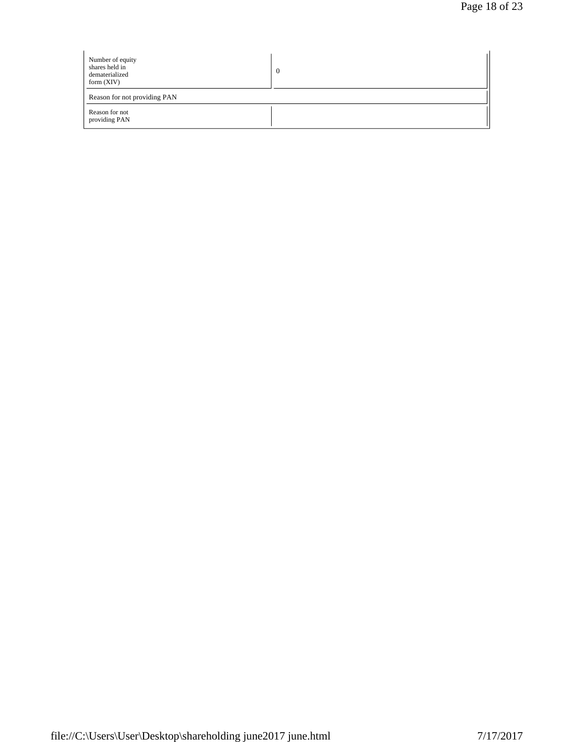| Number of equity<br>shares held in<br>dematerialized<br>form $(XIV)$ |  |
|----------------------------------------------------------------------|--|
| Reason for not providing PAN                                         |  |
| Reason for not<br>providing PAN                                      |  |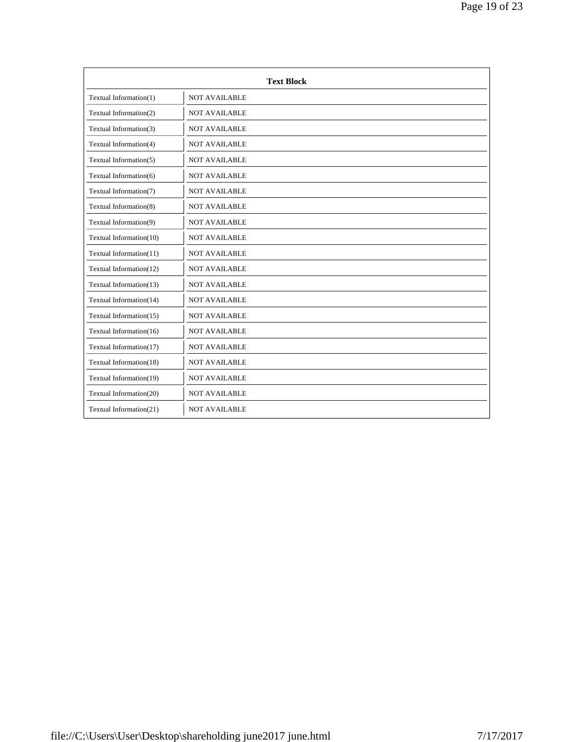|                         | <b>Text Block</b>    |
|-------------------------|----------------------|
| Textual Information(1)  | <b>NOT AVAILABLE</b> |
| Textual Information(2)  | <b>NOT AVAILABLE</b> |
| Textual Information(3)  | <b>NOT AVAILABLE</b> |
| Textual Information(4)  | <b>NOT AVAILABLE</b> |
| Textual Information(5)  | <b>NOT AVAILABLE</b> |
| Textual Information(6)  | <b>NOT AVAILABLE</b> |
| Textual Information(7)  | <b>NOT AVAILABLE</b> |
| Textual Information(8)  | <b>NOT AVAILABLE</b> |
| Textual Information(9)  | <b>NOT AVAILABLE</b> |
| Textual Information(10) | <b>NOT AVAILABLE</b> |
| Textual Information(11) | <b>NOT AVAILABLE</b> |
| Textual Information(12) | <b>NOT AVAILABLE</b> |
| Textual Information(13) | <b>NOT AVAILABLE</b> |
| Textual Information(14) | <b>NOT AVAILABLE</b> |
| Textual Information(15) | <b>NOT AVAILABLE</b> |
| Textual Information(16) | <b>NOT AVAILABLE</b> |
| Textual Information(17) | <b>NOT AVAILABLE</b> |
| Textual Information(18) | <b>NOT AVAILABLE</b> |
| Textual Information(19) | <b>NOT AVAILABLE</b> |
| Textual Information(20) | <b>NOT AVAILABLE</b> |
| Textual Information(21) | <b>NOT AVAILABLE</b> |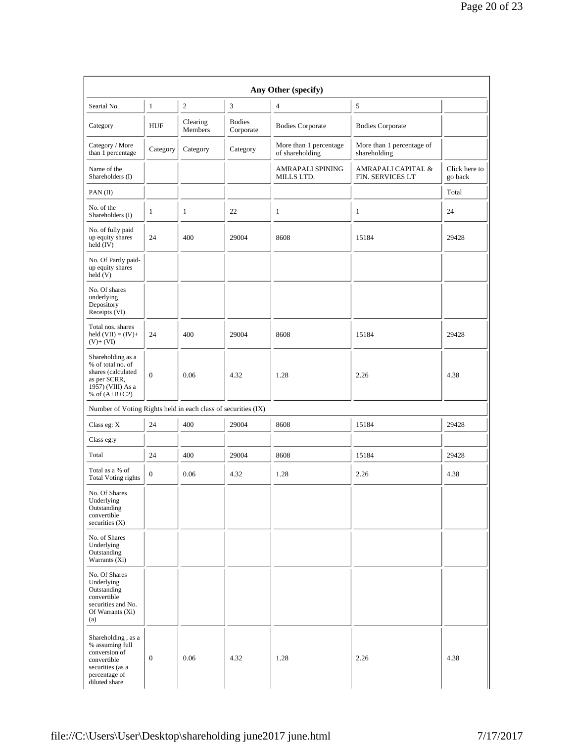|                                                                                                                             |                  |                     |                            | Any Other (specify)                       |                                           |                          |
|-----------------------------------------------------------------------------------------------------------------------------|------------------|---------------------|----------------------------|-------------------------------------------|-------------------------------------------|--------------------------|
| Searial No.                                                                                                                 | 1                | 2                   | 3                          | $\overline{4}$                            | $\sqrt{5}$                                |                          |
| Category                                                                                                                    | <b>HUF</b>       | Clearing<br>Members | <b>Bodies</b><br>Corporate | <b>Bodies Corporate</b>                   | <b>Bodies Corporate</b>                   |                          |
| Category / More<br>than 1 percentage                                                                                        | Category         | Category            | Category                   | More than 1 percentage<br>of shareholding | More than 1 percentage of<br>shareholding |                          |
| Name of the<br>Shareholders (I)                                                                                             |                  |                     |                            | AMRAPALI SPINING<br>MILLS LTD.            | AMRAPALI CAPITAL &<br>FIN. SERVICES LT    | Click here to<br>go back |
| PAN(II)                                                                                                                     |                  |                     |                            |                                           |                                           | Total                    |
| No. of the<br>Shareholders (I)                                                                                              | 1                | 1                   | 22                         | 1                                         | 1                                         | 24                       |
| No. of fully paid<br>up equity shares<br>held (IV)                                                                          | 24               | 400                 | 29004                      | 8608                                      | 15184                                     | 29428                    |
| No. Of Partly paid-<br>up equity shares<br>held(V)                                                                          |                  |                     |                            |                                           |                                           |                          |
| No. Of shares<br>underlying<br>Depository<br>Receipts (VI)                                                                  |                  |                     |                            |                                           |                                           |                          |
| Total nos, shares<br>held $(VII) = (IV) +$<br>$(V)+(VI)$                                                                    | 24               | 400                 | 29004                      | 8608                                      | 15184                                     | 29428                    |
| Shareholding as a<br>% of total no. of<br>shares (calculated<br>as per SCRR,<br>1957) (VIII) As a<br>% of $(A+B+C2)$        | $\mathbf{0}$     | 0.06                | 4.32                       | 1.28                                      | 2.26                                      | 4.38                     |
| Number of Voting Rights held in each class of securities (IX)                                                               |                  |                     |                            |                                           |                                           |                          |
| Class eg: $X$                                                                                                               | 24               | 400                 | 29004                      | 8608                                      | 15184                                     | 29428                    |
| Class eg:y                                                                                                                  |                  |                     |                            |                                           |                                           |                          |
| Total                                                                                                                       | 24               | 400                 | 29004                      | 8608                                      | 15184                                     | 29428                    |
| Total as a % of<br><b>Total Voting rights</b>                                                                               | $\boldsymbol{0}$ | 0.06                | 4.32                       | 1.28                                      | 2.26                                      | 4.38                     |
| No. Of Shares<br>Underlying<br>Outstanding<br>convertible<br>securities $(X)$                                               |                  |                     |                            |                                           |                                           |                          |
| No. of Shares<br>Underlying<br>Outstanding<br>Warrants (Xi)                                                                 |                  |                     |                            |                                           |                                           |                          |
| No. Of Shares<br>Underlying<br>Outstanding<br>convertible<br>securities and No.<br>Of Warrants (Xi)<br>(a)                  |                  |                     |                            |                                           |                                           |                          |
| Shareholding, as a<br>% assuming full<br>conversion of<br>convertible<br>securities (as a<br>percentage of<br>diluted share | $\boldsymbol{0}$ | 0.06                | 4.32                       | 1.28                                      | 2.26                                      | 4.38                     |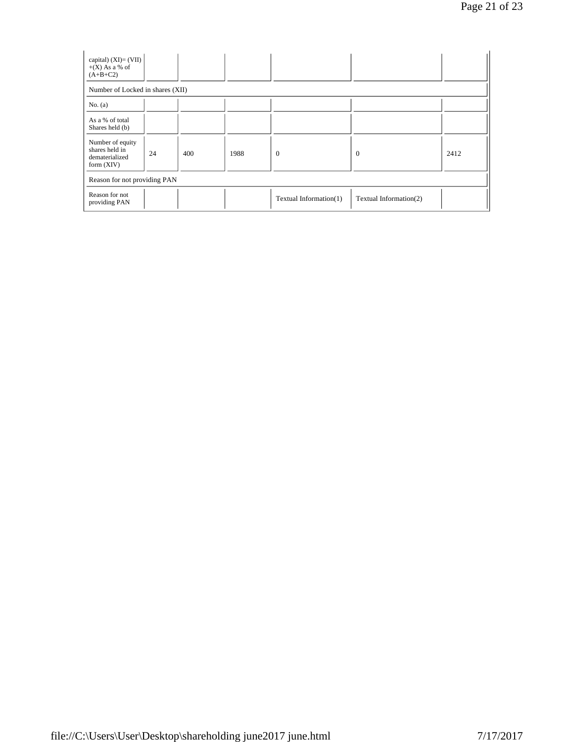| capital) $(XI) = (VII)$<br>$+(X)$ As a % of<br>$(A+B+C2)$            |    |     |      |                        |                        |      |
|----------------------------------------------------------------------|----|-----|------|------------------------|------------------------|------|
| Number of Locked in shares (XII)                                     |    |     |      |                        |                        |      |
| No. (a)                                                              |    |     |      |                        |                        |      |
| As a % of total<br>Shares held (b)                                   |    |     |      |                        |                        |      |
| Number of equity<br>shares held in<br>dematerialized<br>form $(XIV)$ | 24 | 400 | 1988 | $\theta$               | $\overline{0}$         | 2412 |
| Reason for not providing PAN                                         |    |     |      |                        |                        |      |
| Reason for not<br>providing PAN                                      |    |     |      | Textual Information(1) | Textual Information(2) |      |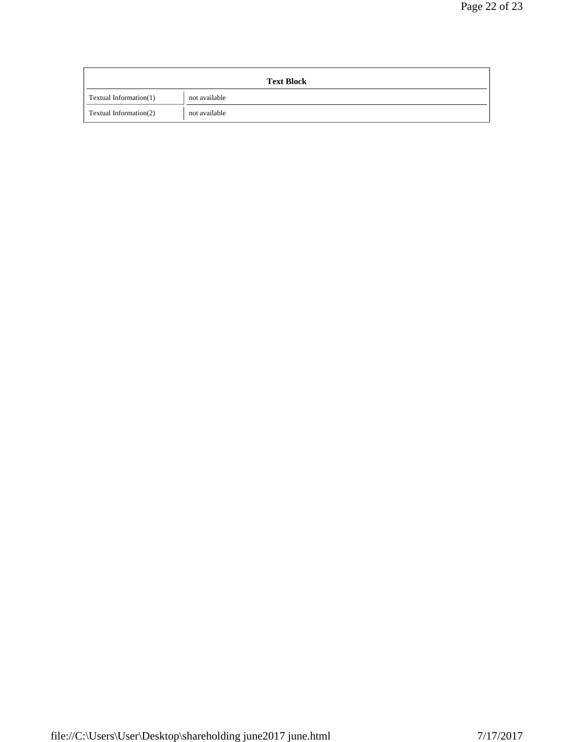## Page 22 of 23

|                        | <b>Text Block</b> |
|------------------------|-------------------|
| Textual Information(1) | not available     |
| Textual Information(2) | not available     |